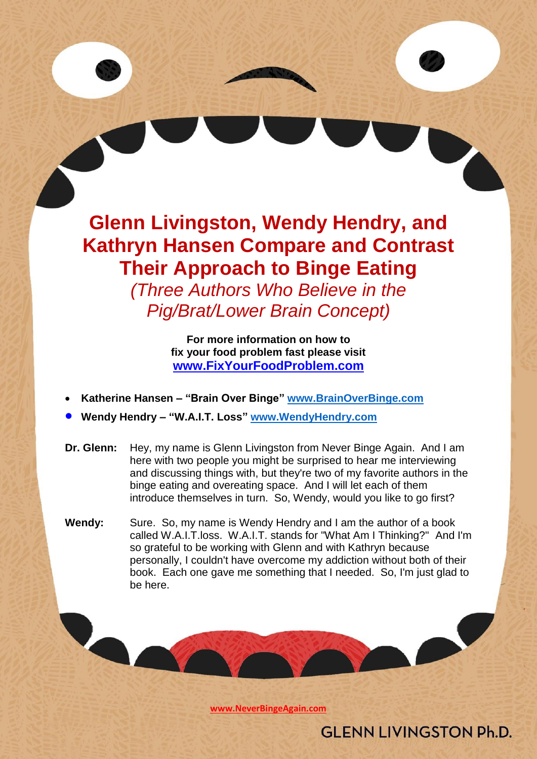**Glenn Livingston, Wendy Hendry, and Kathryn Hansen Compare and Contrast Their Approach to Binge Eating**

*(Three Authors Who Believe in the Pig/Brat/Lower Brain Concept)*

> **For more information on how to fix your food problem fast please visit [www.FixYourFoodProblem.com](http://www.fixyourfoodproblem.com/)**

- **Katherine Hansen – "Brain Over Binge" [www.BrainOverBinge.com](http://www.brainoverbinge.com/)**
- **Wendy Hendry – "W.A.I.T. Loss" [www.WendyHendry.com](http://www.wendyhendry.com/)**
- **Dr. Glenn:** Hey, my name is Glenn Livingston from Never Binge Again. And I am here with two people you might be surprised to hear me interviewing and discussing things with, but they're two of my favorite authors in the binge eating and overeating space. And I will let each of them introduce themselves in turn. So, Wendy, would you like to go first?
- **Wendy:** Sure. So, my name is Wendy Hendry and I am the author of a book called W.A.I.T.loss. W.A.I.T. stands for "What Am I Thinking?" And I'm so grateful to be working with Glenn and with Kathryn because personally, I couldn't have overcome my addiction without both of their book. Each one gave me something that I needed. So, I'm just glad to be here.

**[www.NeverBingeAgain.com](http://www.neverbingeagain.com/)**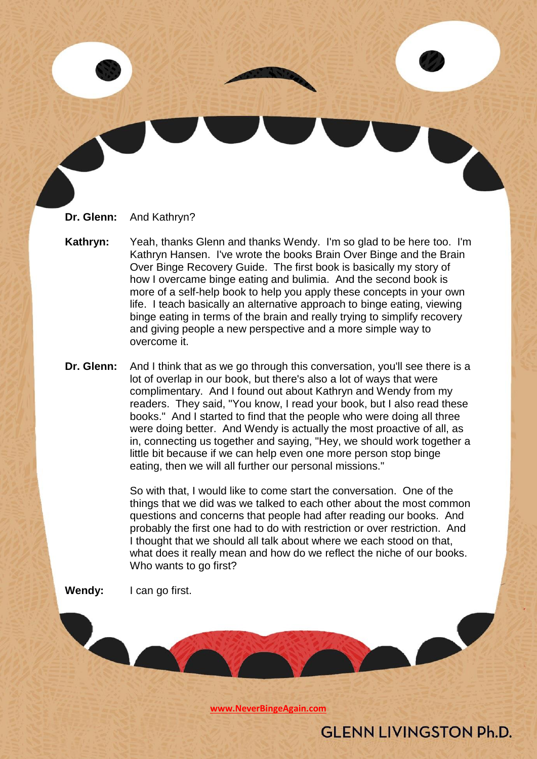

- **Kathryn:** Yeah, thanks Glenn and thanks Wendy. I'm so glad to be here too. I'm Kathryn Hansen. I've wrote the books Brain Over Binge and the Brain Over Binge Recovery Guide. The first book is basically my story of how I overcame binge eating and bulimia. And the second book is more of a self-help book to help you apply these concepts in your own life. I teach basically an alternative approach to binge eating, viewing binge eating in terms of the brain and really trying to simplify recovery and giving people a new perspective and a more simple way to overcome it.
- **Dr. Glenn:** And I think that as we go through this conversation, you'll see there is a lot of overlap in our book, but there's also a lot of ways that were complimentary. And I found out about Kathryn and Wendy from my readers. They said, "You know, I read your book, but I also read these books." And I started to find that the people who were doing all three were doing better. And Wendy is actually the most proactive of all, as in, connecting us together and saying, "Hey, we should work together a little bit because if we can help even one more person stop binge eating, then we will all further our personal missions."

So with that, I would like to come start the conversation. One of the things that we did was we talked to each other about the most common questions and concerns that people had after reading our books. And probably the first one had to do with restriction or over restriction. And I thought that we should all talk about where we each stood on that, what does it really mean and how do we reflect the niche of our books. Who wants to go first?

**Wendy:** I can go first.

**[www.NeverBingeAgain.com](http://www.neverbingeagain.com/)**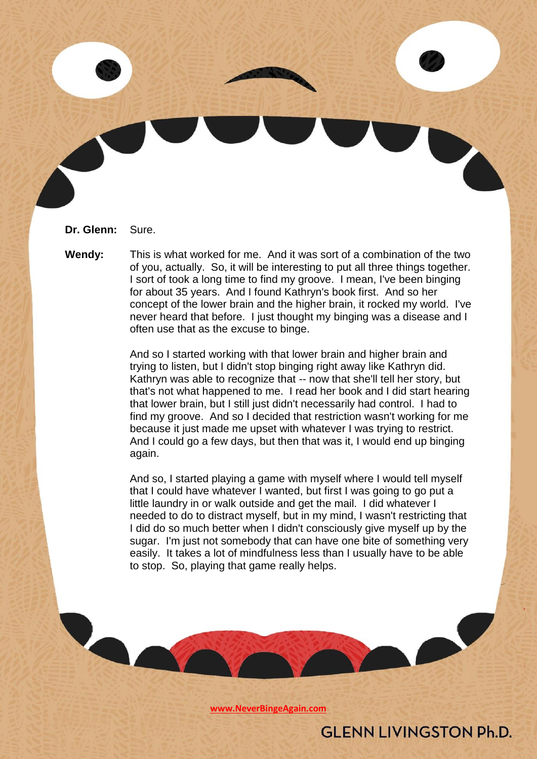**Dr. Glenn:** Sure.

**Wendy:** This is what worked for me. And it was sort of a combination of the two of you, actually. So, it will be interesting to put all three things together. I sort of took a long time to find my groove. I mean, I've been binging for about 35 years. And I found Kathryn's book first. And so her concept of the lower brain and the higher brain, it rocked my world. I've never heard that before. I just thought my binging was a disease and I often use that as the excuse to binge.

> And so I started working with that lower brain and higher brain and trying to listen, but I didn't stop binging right away like Kathryn did. Kathryn was able to recognize that -- now that she'll tell her story, but that's not what happened to me. I read her book and I did start hearing that lower brain, but I still just didn't necessarily had control. I had to find my groove. And so I decided that restriction wasn't working for me because it just made me upset with whatever I was trying to restrict. And I could go a few days, but then that was it, I would end up binging again.

> And so, I started playing a game with myself where I would tell myself that I could have whatever I wanted, but first I was going to go put a little laundry in or walk outside and get the mail. I did whatever I needed to do to distract myself, but in my mind, I wasn't restricting that I did do so much better when I didn't consciously give myself up by the sugar. I'm just not somebody that can have one bite of something very easily. It takes a lot of mindfulness less than I usually have to be able to stop. So, playing that game really helps.

> > **[www.NeverBingeAgain.com](http://www.neverbingeagain.com/)**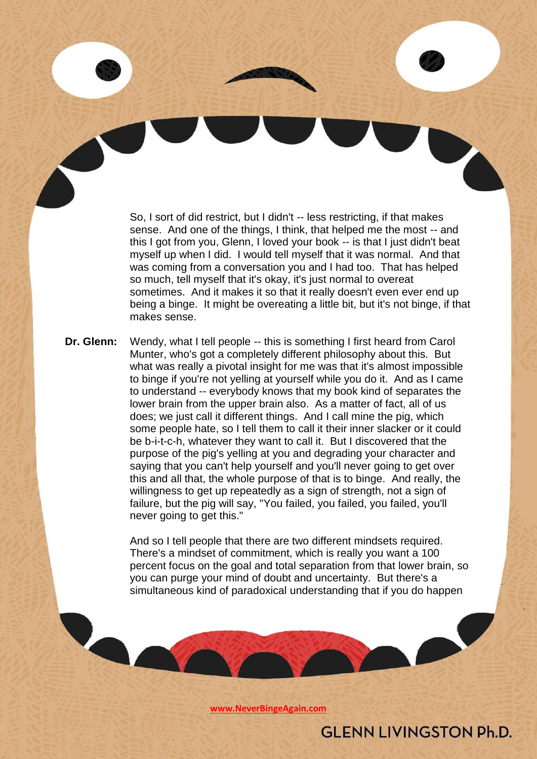So, I sort of did restrict, but I didn't -- less restricting, if that makes sense. And one of the things, I think, that helped me the most -- and this I got from you, Glenn, I loved your book -- is that I just didn't beat myself up when I did. I would tell myself that it was normal. And that was coming from a conversation you and I had too. That has helped so much, tell myself that it's okay, it's just normal to overeat sometimes. And it makes it so that it really doesn't even ever end up being a binge. It might be overeating a little bit, but it's not binge, if that makes sense.

**Dr. Glenn:** Wendy, what I tell people -- this is something I first heard from Carol Munter, who's got a completely different philosophy about this. But what was really a pivotal insight for me was that it's almost impossible to binge if you're not yelling at yourself while you do it. And as I came to understand -- everybody knows that my book kind of separates the lower brain from the upper brain also. As a matter of fact, all of us does; we just call it different things. And I call mine the pig, which some people hate, so I tell them to call it their inner slacker or it could be b-i-t-c-h, whatever they want to call it. But I discovered that the purpose of the pig's yelling at you and degrading your character and saying that you can't help yourself and you'll never going to get over this and all that, the whole purpose of that is to binge. And really, the willingness to get up repeatedly as a sign of strength, not a sign of failure, but the pig will say, "You failed, you failed, you failed, you'll never going to get this."

> And so I tell people that there are two different mindsets required. There's a mindset of commitment, which is really you want a 100 percent focus on the goal and total separation from that lower brain, so you can purge your mind of doubt and uncertainty. But there's a simultaneous kind of paradoxical understanding that if you do happen

> > **[www.NeverBingeAgain.com](http://www.neverbingeagain.com/)**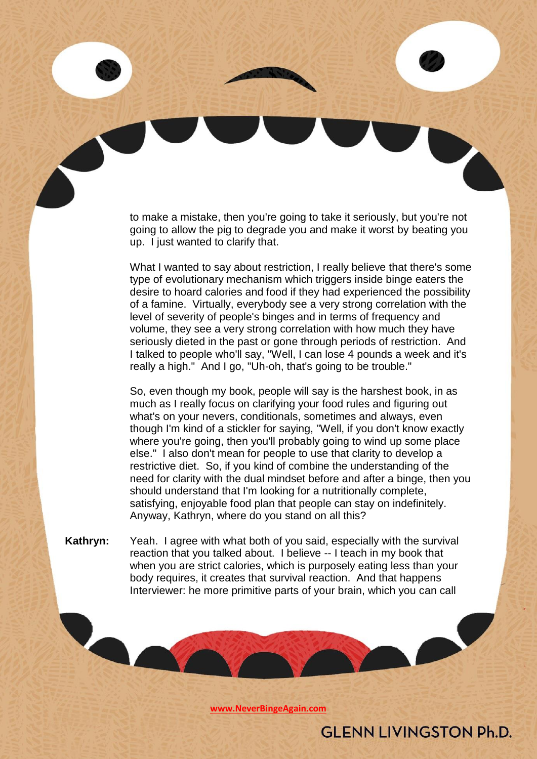to make a mistake, then you're going to take it seriously, but you're not going to allow the pig to degrade you and make it worst by beating you up. I just wanted to clarify that.

What I wanted to say about restriction, I really believe that there's some type of evolutionary mechanism which triggers inside binge eaters the desire to hoard calories and food if they had experienced the possibility of a famine. Virtually, everybody see a very strong correlation with the level of severity of people's binges and in terms of frequency and volume, they see a very strong correlation with how much they have seriously dieted in the past or gone through periods of restriction. And I talked to people who'll say, "Well, I can lose 4 pounds a week and it's really a high." And I go, "Uh-oh, that's going to be trouble."

So, even though my book, people will say is the harshest book, in as much as I really focus on clarifying your food rules and figuring out what's on your nevers, conditionals, sometimes and always, even though I'm kind of a stickler for saying, "Well, if you don't know exactly where you're going, then you'll probably going to wind up some place else." I also don't mean for people to use that clarity to develop a restrictive diet. So, if you kind of combine the understanding of the need for clarity with the dual mindset before and after a binge, then you should understand that I'm looking for a nutritionally complete, satisfying, enjoyable food plan that people can stay on indefinitely. Anyway, Kathryn, where do you stand on all this?

**Kathryn:** Yeah. I agree with what both of you said, especially with the survival reaction that you talked about. I believe -- I teach in my book that when you are strict calories, which is purposely eating less than your body requires, it creates that survival reaction. And that happens Interviewer: he more primitive parts of your brain, which you can call

**[www.NeverBingeAgain.com](http://www.neverbingeagain.com/)**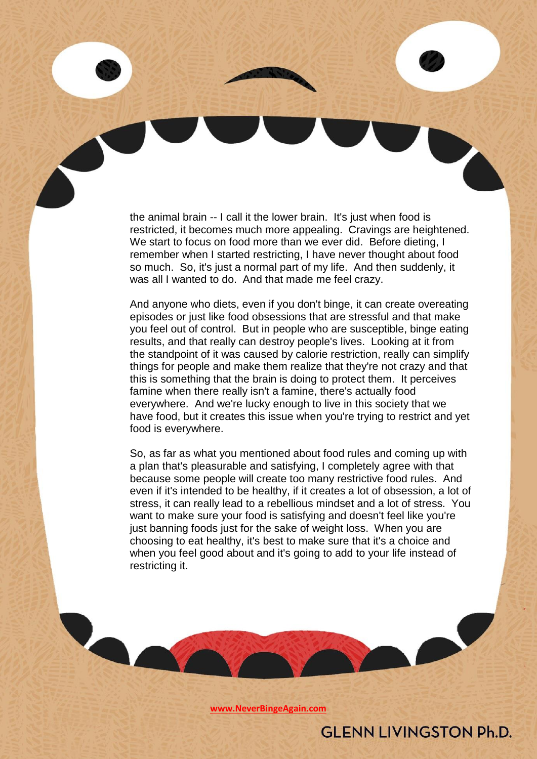the animal brain -- I call it the lower brain. It's just when food is restricted, it becomes much more appealing. Cravings are heightened. We start to focus on food more than we ever did. Before dieting, I remember when I started restricting, I have never thought about food so much. So, it's just a normal part of my life. And then suddenly, it was all I wanted to do. And that made me feel crazy.

And anyone who diets, even if you don't binge, it can create overeating episodes or just like food obsessions that are stressful and that make you feel out of control. But in people who are susceptible, binge eating results, and that really can destroy people's lives. Looking at it from the standpoint of it was caused by calorie restriction, really can simplify things for people and make them realize that they're not crazy and that this is something that the brain is doing to protect them. It perceives famine when there really isn't a famine, there's actually food everywhere. And we're lucky enough to live in this society that we have food, but it creates this issue when you're trying to restrict and yet food is everywhere.

So, as far as what you mentioned about food rules and coming up with a plan that's pleasurable and satisfying, I completely agree with that because some people will create too many restrictive food rules. And even if it's intended to be healthy, if it creates a lot of obsession, a lot of stress, it can really lead to a rebellious mindset and a lot of stress. You want to make sure your food is satisfying and doesn't feel like you're just banning foods just for the sake of weight loss. When you are choosing to eat healthy, it's best to make sure that it's a choice and when you feel good about and it's going to add to your life instead of restricting it.

**[www.NeverBingeAgain.com](http://www.neverbingeagain.com/)**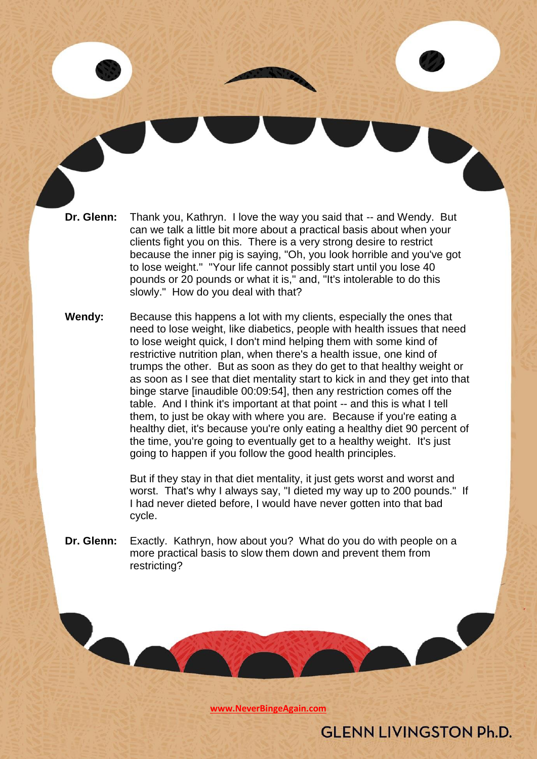- **Dr. Glenn:** Thank you, Kathryn. I love the way you said that -- and Wendy. But can we talk a little bit more about a practical basis about when your clients fight you on this. There is a very strong desire to restrict because the inner pig is saying, "Oh, you look horrible and you've got to lose weight." "Your life cannot possibly start until you lose 40 pounds or 20 pounds or what it is," and, "It's intolerable to do this slowly." How do you deal with that?
- **Wendy:** Because this happens a lot with my clients, especially the ones that need to lose weight, like diabetics, people with health issues that need to lose weight quick, I don't mind helping them with some kind of restrictive nutrition plan, when there's a health issue, one kind of trumps the other. But as soon as they do get to that healthy weight or as soon as I see that diet mentality start to kick in and they get into that binge starve [inaudible 00:09:54], then any restriction comes off the table. And I think it's important at that point -- and this is what I tell them, to just be okay with where you are. Because if you're eating a healthy diet, it's because you're only eating a healthy diet 90 percent of the time, you're going to eventually get to a healthy weight. It's just going to happen if you follow the good health principles.

But if they stay in that diet mentality, it just gets worst and worst and worst. That's why I always say, "I dieted my way up to 200 pounds." If I had never dieted before, I would have never gotten into that bad cycle.

**Dr. Glenn:** Exactly. Kathryn, how about you? What do you do with people on a more practical basis to slow them down and prevent them from restricting?

**[www.NeverBingeAgain.com](http://www.neverbingeagain.com/)**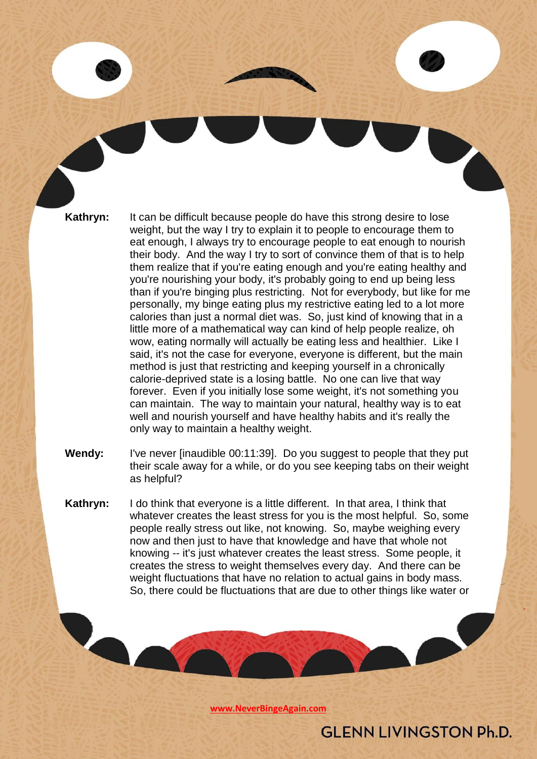**Kathryn:** It can be difficult because people do have this strong desire to lose weight, but the way I try to explain it to people to encourage them to eat enough, I always try to encourage people to eat enough to nourish their body. And the way I try to sort of convince them of that is to help them realize that if you're eating enough and you're eating healthy and you're nourishing your body, it's probably going to end up being less than if you're binging plus restricting. Not for everybody, but like for me personally, my binge eating plus my restrictive eating led to a lot more calories than just a normal diet was. So, just kind of knowing that in a little more of a mathematical way can kind of help people realize, oh wow, eating normally will actually be eating less and healthier. Like I said, it's not the case for everyone, everyone is different, but the main method is just that restricting and keeping yourself in a chronically calorie-deprived state is a losing battle. No one can live that way forever. Even if you initially lose some weight, it's not something you can maintain. The way to maintain your natural, healthy way is to eat well and nourish yourself and have healthy habits and it's really the only way to maintain a healthy weight.

- **Wendy:** I've never [inaudible 00:11:39]. Do you suggest to people that they put their scale away for a while, or do you see keeping tabs on their weight as helpful?
- **Kathryn:** I do think that everyone is a little different. In that area, I think that whatever creates the least stress for you is the most helpful. So, some people really stress out like, not knowing. So, maybe weighing every now and then just to have that knowledge and have that whole not knowing -- it's just whatever creates the least stress. Some people, it creates the stress to weight themselves every day. And there can be weight fluctuations that have no relation to actual gains in body mass. So, there could be fluctuations that are due to other things like water or

**[www.NeverBingeAgain.com](http://www.neverbingeagain.com/)**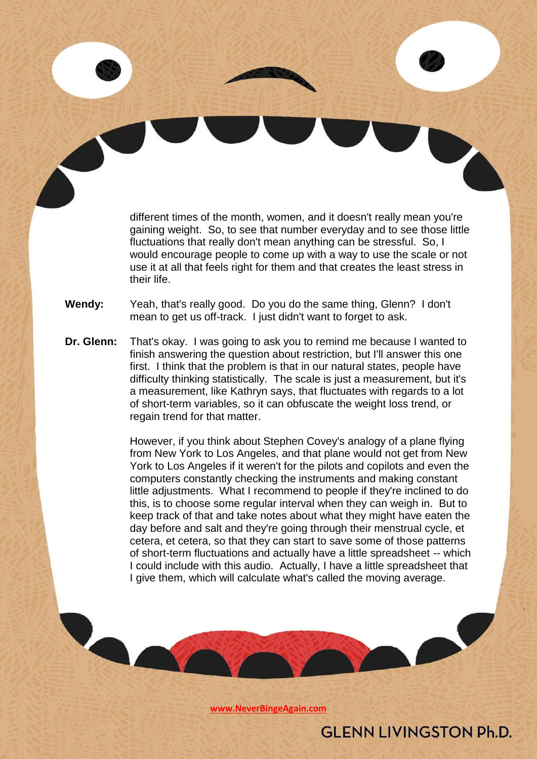different times of the month, women, and it doesn't really mean you're gaining weight. So, to see that number everyday and to see those little fluctuations that really don't mean anything can be stressful. So, I would encourage people to come up with a way to use the scale or not use it at all that feels right for them and that creates the least stress in their life.

- **Wendy:** Yeah, that's really good. Do you do the same thing, Glenn? I don't mean to get us off-track. I just didn't want to forget to ask.
- **Dr. Glenn:** That's okay. I was going to ask you to remind me because I wanted to finish answering the question about restriction, but I'll answer this one first. I think that the problem is that in our natural states, people have difficulty thinking statistically. The scale is just a measurement, but it's a measurement, like Kathryn says, that fluctuates with regards to a lot of short-term variables, so it can obfuscate the weight loss trend, or regain trend for that matter.

However, if you think about Stephen Covey's analogy of a plane flying from New York to Los Angeles, and that plane would not get from New York to Los Angeles if it weren't for the pilots and copilots and even the computers constantly checking the instruments and making constant little adjustments. What I recommend to people if they're inclined to do this, is to choose some regular interval when they can weigh in. But to keep track of that and take notes about what they might have eaten the day before and salt and they're going through their menstrual cycle, et cetera, et cetera, so that they can start to save some of those patterns of short-term fluctuations and actually have a little spreadsheet -- which I could include with this audio. Actually, I have a little spreadsheet that I give them, which will calculate what's called the moving average.

**[www.NeverBingeAgain.com](http://www.neverbingeagain.com/)**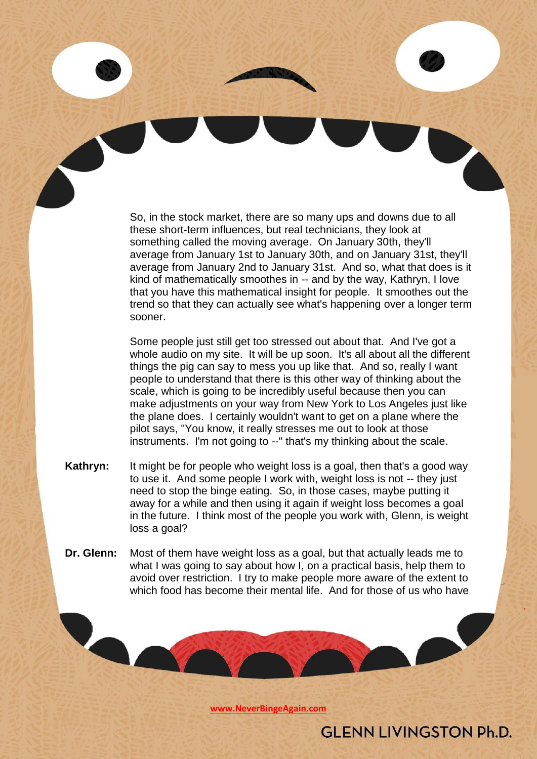So, in the stock market, there are so many ups and downs due to all these short-term influences, but real technicians, they look at something called the moving average. On January 30th, they'll average from January 1st to January 30th, and on January 31st, they'll average from January 2nd to January 31st. And so, what that does is it kind of mathematically smoothes in -- and by the way, Kathryn, I love that you have this mathematical insight for people. It smoothes out the trend so that they can actually see what's happening over a longer term sooner.

Some people just still get too stressed out about that. And I've got a whole audio on my site. It will be up soon. It's all about all the different things the pig can say to mess you up like that. And so, really I want people to understand that there is this other way of thinking about the scale, which is going to be incredibly useful because then you can make adjustments on your way from New York to Los Angeles just like the plane does. I certainly wouldn't want to get on a plane where the pilot says, "You know, it really stresses me out to look at those instruments. I'm not going to --" that's my thinking about the scale.

- **Kathryn:** It might be for people who weight loss is a goal, then that's a good way to use it. And some people I work with, weight loss is not -- they just need to stop the binge eating. So, in those cases, maybe putting it away for a while and then using it again if weight loss becomes a goal in the future. I think most of the people you work with, Glenn, is weight loss a goal?
- **Dr. Glenn:** Most of them have weight loss as a goal, but that actually leads me to what I was going to say about how I, on a practical basis, help them to avoid over restriction. I try to make people more aware of the extent to which food has become their mental life. And for those of us who have

**[www.NeverBingeAgain.com](http://www.neverbingeagain.com/)**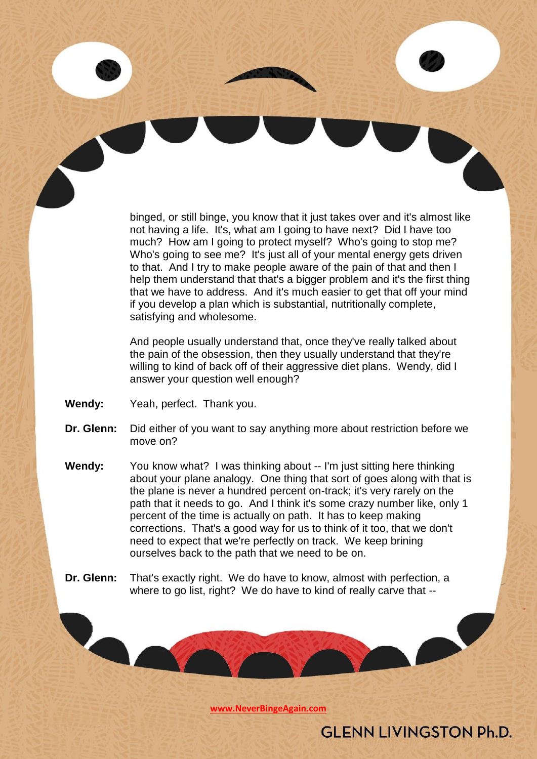binged, or still binge, you know that it just takes over and it's almost like not having a life. It's, what am I going to have next? Did I have too much? How am I going to protect myself? Who's going to stop me? Who's going to see me? It's just all of your mental energy gets driven to that. And I try to make people aware of the pain of that and then I help them understand that that's a bigger problem and it's the first thing that we have to address. And it's much easier to get that off your mind if you develop a plan which is substantial, nutritionally complete, satisfying and wholesome.

And people usually understand that, once they've really talked about the pain of the obsession, then they usually understand that they're willing to kind of back off of their aggressive diet plans. Wendy, did I answer your question well enough?

**Wendy:** Yeah, perfect. Thank you.

- **Dr. Glenn:** Did either of you want to say anything more about restriction before we move on?
- **Wendy:** You know what? I was thinking about -- I'm just sitting here thinking about your plane analogy. One thing that sort of goes along with that is the plane is never a hundred percent on-track; it's very rarely on the path that it needs to go. And I think it's some crazy number like, only 1 percent of the time is actually on path. It has to keep making corrections. That's a good way for us to think of it too, that we don't need to expect that we're perfectly on track. We keep brining ourselves back to the path that we need to be on.
- **Dr. Glenn:** That's exactly right. We do have to know, almost with perfection, a where to go list, right? We do have to kind of really carve that --

**[www.NeverBingeAgain.com](http://www.neverbingeagain.com/)**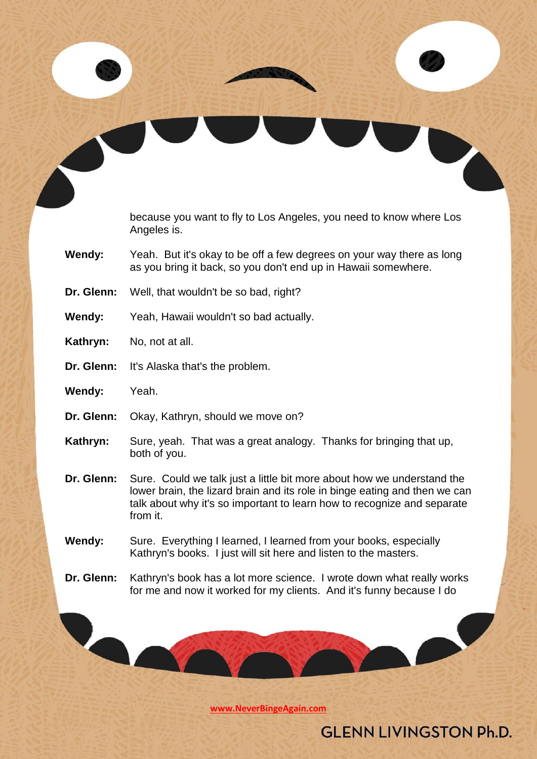because you want to fly to Los Angeles, you need to know where Los Angeles is.

- **Wendy:** Yeah. But it's okay to be off a few degrees on your way there as long as you bring it back, so you don't end up in Hawaii somewhere.
- **Dr. Glenn:** Well, that wouldn't be so bad, right?
- **Wendy:** Yeah, Hawaii wouldn't so bad actually.
- **Kathryn:** No, not at all.
- **Dr. Glenn:** It's Alaska that's the problem.

- **Wendy:** Yeah.
- **Dr. Glenn:** Okay, Kathryn, should we move on?
- **Kathryn:** Sure, yeah. That was a great analogy. Thanks for bringing that up, both of you.
- **Dr. Glenn:** Sure. Could we talk just a little bit more about how we understand the lower brain, the lizard brain and its role in binge eating and then we can talk about why it's so important to learn how to recognize and separate from it.
- **Wendy:** Sure. Everything I learned, I learned from your books, especially Kathryn's books. I just will sit here and listen to the masters.
- **Dr. Glenn:** Kathryn's book has a lot more science. I wrote down what really works for me and now it worked for my clients. And it's funny because I do

**[www.NeverBingeAgain.com](http://www.neverbingeagain.com/)**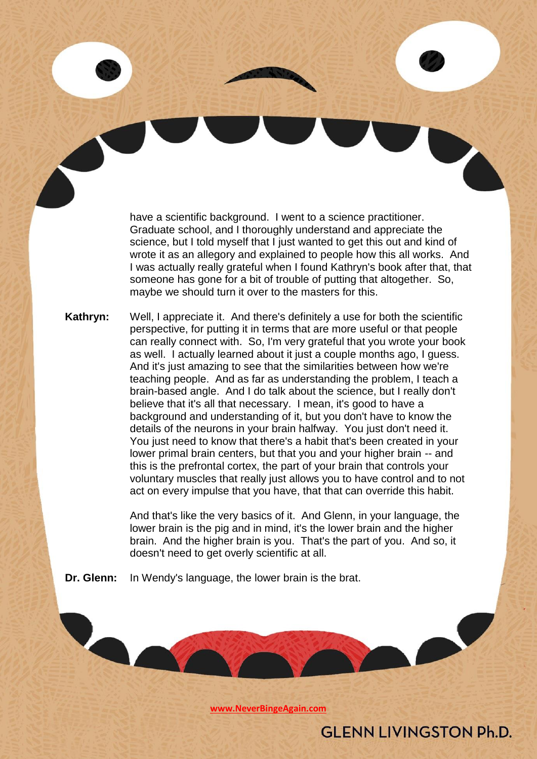have a scientific background. I went to a science practitioner. Graduate school, and I thoroughly understand and appreciate the science, but I told myself that I just wanted to get this out and kind of wrote it as an allegory and explained to people how this all works. And I was actually really grateful when I found Kathryn's book after that, that someone has gone for a bit of trouble of putting that altogether. So, maybe we should turn it over to the masters for this.

**Kathryn:** Well, I appreciate it. And there's definitely a use for both the scientific perspective, for putting it in terms that are more useful or that people can really connect with. So, I'm very grateful that you wrote your book as well. I actually learned about it just a couple months ago, I guess. And it's just amazing to see that the similarities between how we're teaching people. And as far as understanding the problem, I teach a brain-based angle. And I do talk about the science, but I really don't believe that it's all that necessary. I mean, it's good to have a background and understanding of it, but you don't have to know the details of the neurons in your brain halfway. You just don't need it. You just need to know that there's a habit that's been created in your lower primal brain centers, but that you and your higher brain -- and this is the prefrontal cortex, the part of your brain that controls your voluntary muscles that really just allows you to have control and to not act on every impulse that you have, that that can override this habit.

> And that's like the very basics of it. And Glenn, in your language, the lower brain is the pig and in mind, it's the lower brain and the higher brain. And the higher brain is you. That's the part of you. And so, it doesn't need to get overly scientific at all.

**Dr. Glenn:** In Wendy's language, the lower brain is the brat.

**[www.NeverBingeAgain.com](http://www.neverbingeagain.com/)**

**GLENN LIVINGSTON Ph.D.**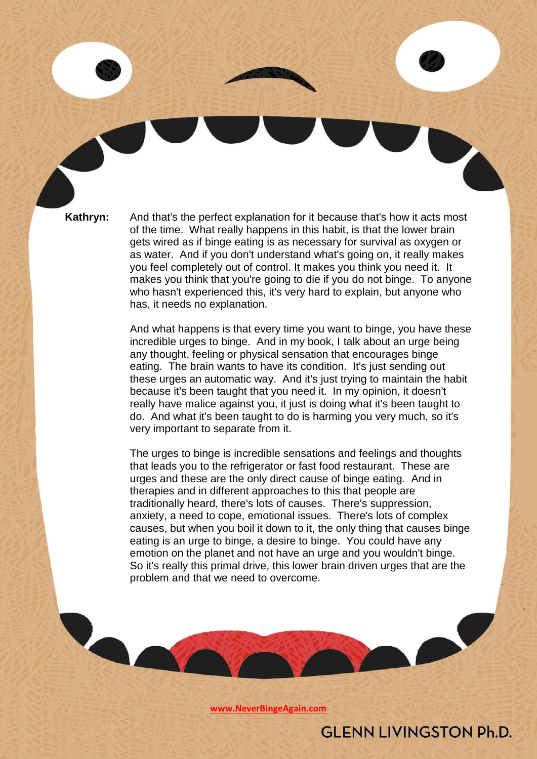**Kathryn:** And that's the perfect explanation for it because that's how it acts most of the time. What really happens in this habit, is that the lower brain gets wired as if binge eating is as necessary for survival as oxygen or as water. And if you don't understand what's going on, it really makes you feel completely out of control. It makes you think you need it. It makes you think that you're going to die if you do not binge. To anyone who hasn't experienced this, it's very hard to explain, but anyone who has, it needs no explanation.

> And what happens is that every time you want to binge, you have these incredible urges to binge. And in my book, I talk about an urge being any thought, feeling or physical sensation that encourages binge eating. The brain wants to have its condition. It's just sending out these urges an automatic way. And it's just trying to maintain the habit because it's been taught that you need it. In my opinion, it doesn't really have malice against you, it just is doing what it's been taught to do. And what it's been taught to do is harming you very much, so it's very important to separate from it.

> The urges to binge is incredible sensations and feelings and thoughts that leads you to the refrigerator or fast food restaurant. These are urges and these are the only direct cause of binge eating. And in therapies and in different approaches to this that people are traditionally heard, there's lots of causes. There's suppression, anxiety, a need to cope, emotional issues. There's lots of complex causes, but when you boil it down to it, the only thing that causes binge eating is an urge to binge, a desire to binge. You could have any emotion on the planet and not have an urge and you wouldn't binge. So it's really this primal drive, this lower brain driven urges that are the problem and that we need to overcome.

> > **[www.NeverBingeAgain.com](http://www.neverbingeagain.com/)**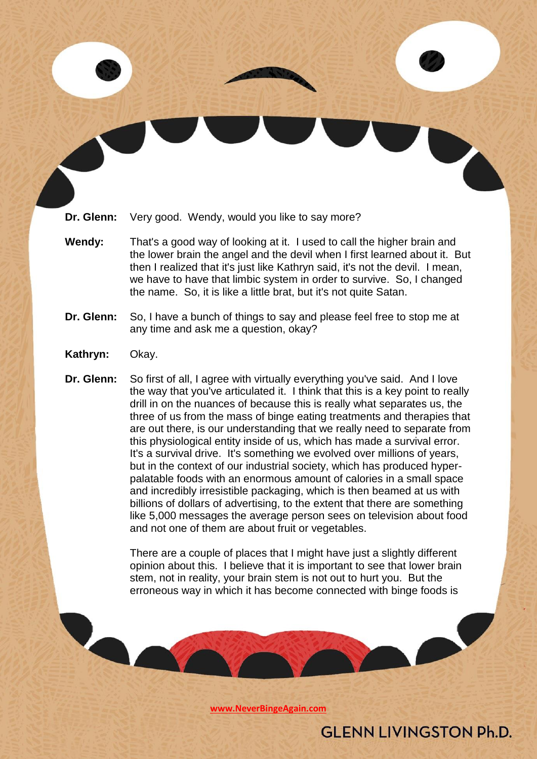**Dr. Glenn:** Very good. Wendy, would you like to say more?

- **Wendy:** That's a good way of looking at it. I used to call the higher brain and the lower brain the angel and the devil when I first learned about it. But then I realized that it's just like Kathryn said, it's not the devil. I mean, we have to have that limbic system in order to survive. So, I changed the name. So, it is like a little brat, but it's not quite Satan.
- **Dr. Glenn:** So, I have a bunch of things to say and please feel free to stop me at any time and ask me a question, okay?
- **Kathryn:** Okay.
- **Dr. Glenn:** So first of all, I agree with virtually everything you've said. And I love the way that you've articulated it. I think that this is a key point to really drill in on the nuances of because this is really what separates us, the three of us from the mass of binge eating treatments and therapies that are out there, is our understanding that we really need to separate from this physiological entity inside of us, which has made a survival error. It's a survival drive. It's something we evolved over millions of years, but in the context of our industrial society, which has produced hyperpalatable foods with an enormous amount of calories in a small space and incredibly irresistible packaging, which is then beamed at us with billions of dollars of advertising, to the extent that there are something like 5,000 messages the average person sees on television about food and not one of them are about fruit or vegetables.

There are a couple of places that I might have just a slightly different opinion about this. I believe that it is important to see that lower brain stem, not in reality, your brain stem is not out to hurt you. But the erroneous way in which it has become connected with binge foods is

**[www.NeverBingeAgain.com](http://www.neverbingeagain.com/)**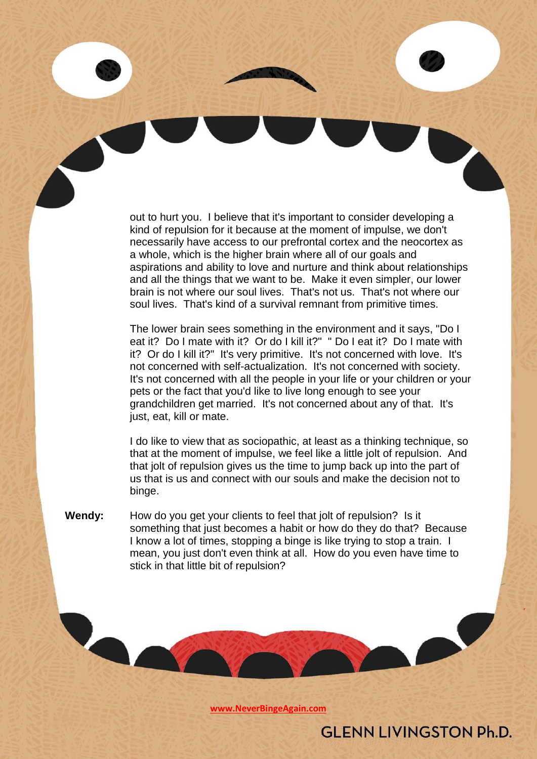out to hurt you. I believe that it's important to consider developing a kind of repulsion for it because at the moment of impulse, we don't necessarily have access to our prefrontal cortex and the neocortex as a whole, which is the higher brain where all of our goals and aspirations and ability to love and nurture and think about relationships and all the things that we want to be. Make it even simpler, our lower brain is not where our soul lives. That's not us. That's not where our soul lives. That's kind of a survival remnant from primitive times.

The lower brain sees something in the environment and it says, "Do I eat it? Do I mate with it? Or do I kill it?" " Do I eat it? Do I mate with it? Or do I kill it?" It's very primitive. It's not concerned with love. It's not concerned with self-actualization. It's not concerned with society. It's not concerned with all the people in your life or your children or your pets or the fact that you'd like to live long enough to see your grandchildren get married. It's not concerned about any of that. It's just, eat, kill or mate.

I do like to view that as sociopathic, at least as a thinking technique, so that at the moment of impulse, we feel like a little jolt of repulsion. And that jolt of repulsion gives us the time to jump back up into the part of us that is us and connect with our souls and make the decision not to binge.

**Wendy:** How do you get your clients to feel that jolt of repulsion? Is it something that just becomes a habit or how do they do that? Because I know a lot of times, stopping a binge is like trying to stop a train. I mean, you just don't even think at all. How do you even have time to stick in that little bit of repulsion?

**[www.NeverBingeAgain.com](http://www.neverbingeagain.com/)**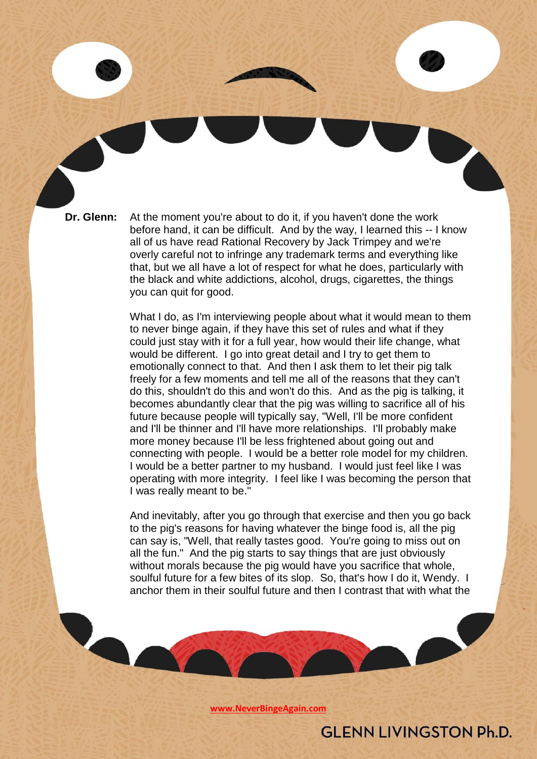**Dr. Glenn:** At the moment you're about to do it, if you haven't done the work before hand, it can be difficult. And by the way, I learned this -- I know all of us have read Rational Recovery by Jack Trimpey and we're overly careful not to infringe any trademark terms and everything like that, but we all have a lot of respect for what he does, particularly with the black and white addictions, alcohol, drugs, cigarettes, the things you can quit for good.

> What I do, as I'm interviewing people about what it would mean to them to never binge again, if they have this set of rules and what if they could just stay with it for a full year, how would their life change, what would be different. I go into great detail and I try to get them to emotionally connect to that. And then I ask them to let their pig talk freely for a few moments and tell me all of the reasons that they can't do this, shouldn't do this and won't do this. And as the pig is talking, it becomes abundantly clear that the pig was willing to sacrifice all of his future because people will typically say, "Well, I'll be more confident and I'll be thinner and I'll have more relationships. I'll probably make more money because I'll be less frightened about going out and connecting with people. I would be a better role model for my children. I would be a better partner to my husband. I would just feel like I was operating with more integrity. I feel like I was becoming the person that I was really meant to be."

> And inevitably, after you go through that exercise and then you go back to the pig's reasons for having whatever the binge food is, all the pig can say is, "Well, that really tastes good. You're going to miss out on all the fun." And the pig starts to say things that are just obviously without morals because the pig would have you sacrifice that whole, soulful future for a few bites of its slop. So, that's how I do it, Wendy. I anchor them in their soulful future and then I contrast that with what the

> > **[www.NeverBingeAgain.com](http://www.neverbingeagain.com/)**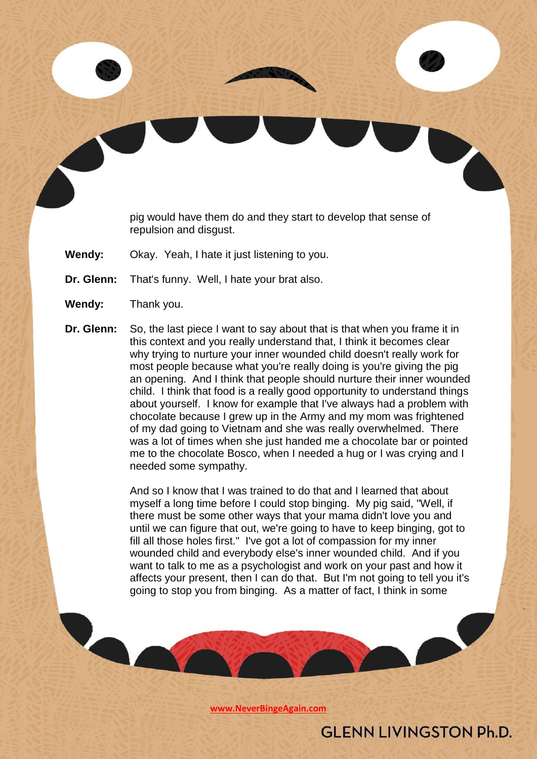pig would have them do and they start to develop that sense of repulsion and disgust.

- **Wendy:** Okay. Yeah, I hate it just listening to you.
- **Dr. Glenn:** That's funny. Well, I hate your brat also.

- **Wendy:** Thank you.
- **Dr. Glenn:** So, the last piece I want to say about that is that when you frame it in this context and you really understand that, I think it becomes clear why trying to nurture your inner wounded child doesn't really work for most people because what you're really doing is you're giving the pig an opening. And I think that people should nurture their inner wounded child. I think that food is a really good opportunity to understand things about yourself. I know for example that I've always had a problem with chocolate because I grew up in the Army and my mom was frightened of my dad going to Vietnam and she was really overwhelmed. There was a lot of times when she just handed me a chocolate bar or pointed me to the chocolate Bosco, when I needed a hug or I was crying and I needed some sympathy.

And so I know that I was trained to do that and I learned that about myself a long time before I could stop binging. My pig said, "Well, if there must be some other ways that your mama didn't love you and until we can figure that out, we're going to have to keep binging, got to fill all those holes first." I've got a lot of compassion for my inner wounded child and everybody else's inner wounded child. And if you want to talk to me as a psychologist and work on your past and how it affects your present, then I can do that. But I'm not going to tell you it's going to stop you from binging. As a matter of fact, I think in some

**[www.NeverBingeAgain.com](http://www.neverbingeagain.com/)**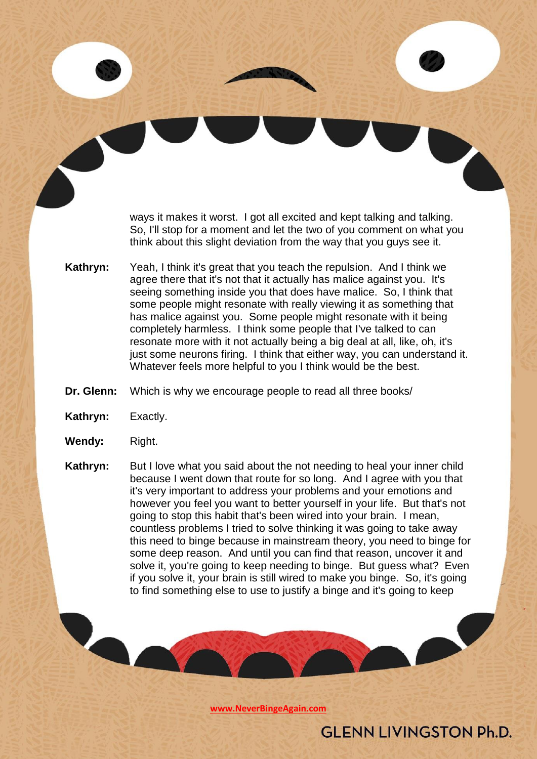ways it makes it worst. I got all excited and kept talking and talking. So, I'll stop for a moment and let the two of you comment on what you think about this slight deviation from the way that you guys see it.

- **Kathryn:** Yeah, I think it's great that you teach the repulsion. And I think we agree there that it's not that it actually has malice against you. It's seeing something inside you that does have malice. So, I think that some people might resonate with really viewing it as something that has malice against you. Some people might resonate with it being completely harmless. I think some people that I've talked to can resonate more with it not actually being a big deal at all, like, oh, it's just some neurons firing. I think that either way, you can understand it. Whatever feels more helpful to you I think would be the best.
- **Dr. Glenn:** Which is why we encourage people to read all three books/
- **Kathryn:** Exactly.
- **Wendy:** Right.

**Kathryn:** But I love what you said about the not needing to heal your inner child because I went down that route for so long. And I agree with you that it's very important to address your problems and your emotions and however you feel you want to better yourself in your life. But that's not going to stop this habit that's been wired into your brain. I mean, countless problems I tried to solve thinking it was going to take away this need to binge because in mainstream theory, you need to binge for some deep reason. And until you can find that reason, uncover it and solve it, you're going to keep needing to binge. But guess what? Even if you solve it, your brain is still wired to make you binge. So, it's going to find something else to use to justify a binge and it's going to keep

**[www.NeverBingeAgain.com](http://www.neverbingeagain.com/)**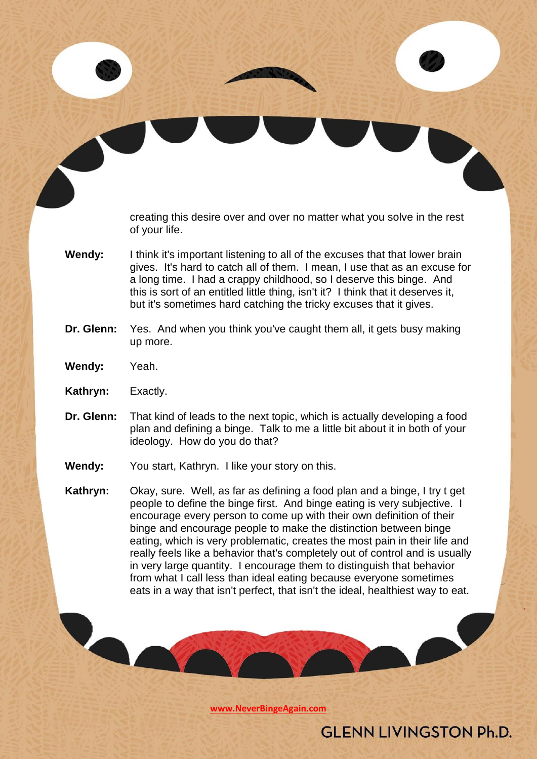creating this desire over and over no matter what you solve in the rest of your life.

**Wendy:** I think it's important listening to all of the excuses that that lower brain gives. It's hard to catch all of them. I mean, I use that as an excuse for a long time. I had a crappy childhood, so I deserve this binge. And this is sort of an entitled little thing, isn't it? I think that it deserves it, but it's sometimes hard catching the tricky excuses that it gives.

#### **Dr. Glenn:** Yes. And when you think you've caught them all, it gets busy making up more.

- **Wendy:** Yeah.
- **Kathryn:** Exactly.
- **Dr. Glenn:** That kind of leads to the next topic, which is actually developing a food plan and defining a binge. Talk to me a little bit about it in both of your ideology. How do you do that?
- Wendy: You start, Kathryn. I like your story on this.
- **Kathryn:** Okay, sure. Well, as far as defining a food plan and a binge, I try t get people to define the binge first. And binge eating is very subjective. I encourage every person to come up with their own definition of their binge and encourage people to make the distinction between binge eating, which is very problematic, creates the most pain in their life and really feels like a behavior that's completely out of control and is usually in very large quantity. I encourage them to distinguish that behavior from what I call less than ideal eating because everyone sometimes eats in a way that isn't perfect, that isn't the ideal, healthiest way to eat.

**[www.NeverBingeAgain.com](http://www.neverbingeagain.com/)**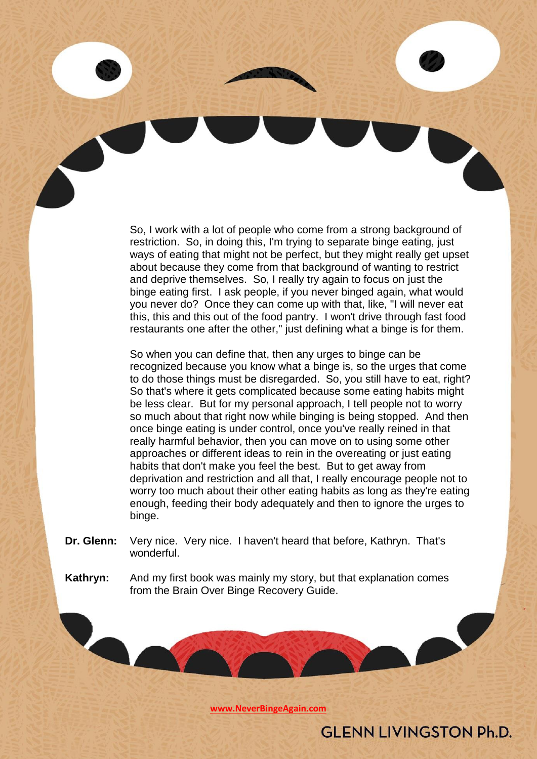So, I work with a lot of people who come from a strong background of restriction. So, in doing this, I'm trying to separate binge eating, just ways of eating that might not be perfect, but they might really get upset about because they come from that background of wanting to restrict and deprive themselves. So, I really try again to focus on just the binge eating first. I ask people, if you never binged again, what would you never do? Once they can come up with that, like, "I will never eat this, this and this out of the food pantry. I won't drive through fast food restaurants one after the other," just defining what a binge is for them.

So when you can define that, then any urges to binge can be recognized because you know what a binge is, so the urges that come to do those things must be disregarded. So, you still have to eat, right? So that's where it gets complicated because some eating habits might be less clear. But for my personal approach, I tell people not to worry so much about that right now while binging is being stopped. And then once binge eating is under control, once you've really reined in that really harmful behavior, then you can move on to using some other approaches or different ideas to rein in the overeating or just eating habits that don't make you feel the best. But to get away from deprivation and restriction and all that, I really encourage people not to worry too much about their other eating habits as long as they're eating enough, feeding their body adequately and then to ignore the urges to binge.

- **Dr. Glenn:** Very nice. Very nice. I haven't heard that before, Kathryn. That's wonderful.
- **Kathryn:** And my first book was mainly my story, but that explanation comes from the Brain Over Binge Recovery Guide.

**[www.NeverBingeAgain.com](http://www.neverbingeagain.com/)**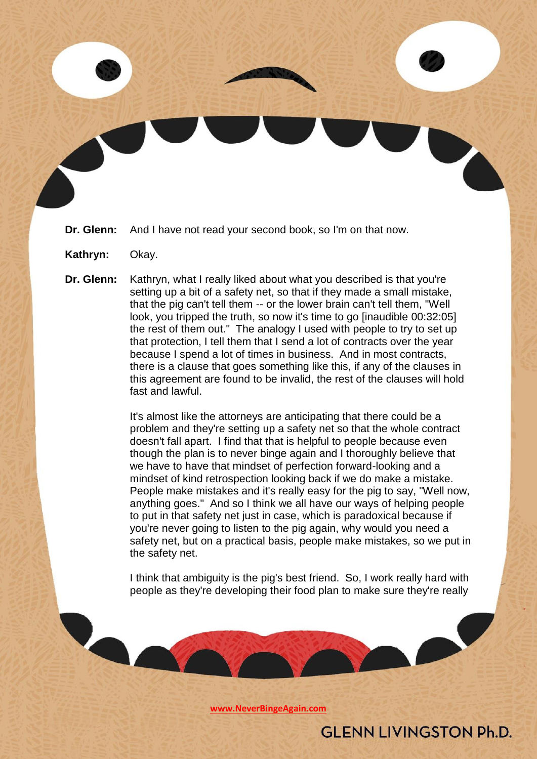- **Dr. Glenn:** And I have not read your second book, so I'm on that now.
- **Kathryn:** Okay.
- **Dr. Glenn:** Kathryn, what I really liked about what you described is that you're setting up a bit of a safety net, so that if they made a small mistake, that the pig can't tell them -- or the lower brain can't tell them, "Well look, you tripped the truth, so now it's time to go [inaudible 00:32:05] the rest of them out." The analogy I used with people to try to set up that protection, I tell them that I send a lot of contracts over the year because I spend a lot of times in business. And in most contracts, there is a clause that goes something like this, if any of the clauses in this agreement are found to be invalid, the rest of the clauses will hold fast and lawful.

It's almost like the attorneys are anticipating that there could be a problem and they're setting up a safety net so that the whole contract doesn't fall apart. I find that that is helpful to people because even though the plan is to never binge again and I thoroughly believe that we have to have that mindset of perfection forward-looking and a mindset of kind retrospection looking back if we do make a mistake. People make mistakes and it's really easy for the pig to say, "Well now, anything goes." And so I think we all have our ways of helping people to put in that safety net just in case, which is paradoxical because if you're never going to listen to the pig again, why would you need a safety net, but on a practical basis, people make mistakes, so we put in the safety net.

I think that ambiguity is the pig's best friend. So, I work really hard with people as they're developing their food plan to make sure they're really

**[www.NeverBingeAgain.com](http://www.neverbingeagain.com/)**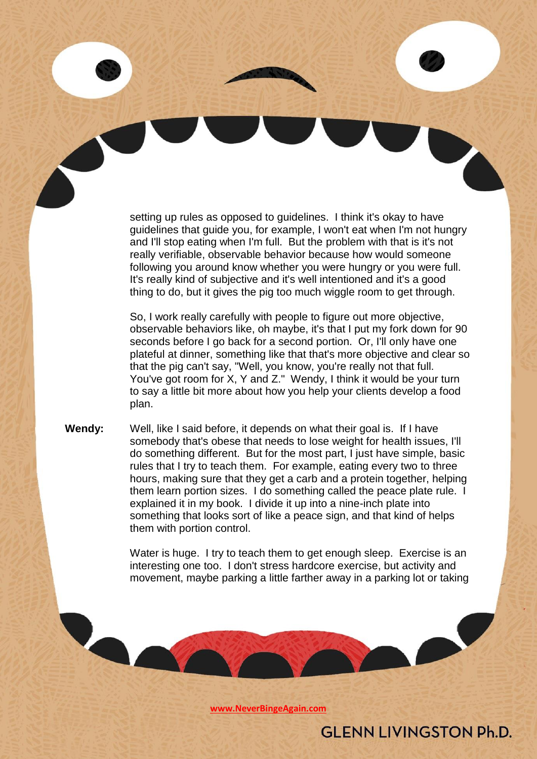setting up rules as opposed to guidelines. I think it's okay to have guidelines that guide you, for example, I won't eat when I'm not hungry and I'll stop eating when I'm full. But the problem with that is it's not really verifiable, observable behavior because how would someone following you around know whether you were hungry or you were full. It's really kind of subjective and it's well intentioned and it's a good thing to do, but it gives the pig too much wiggle room to get through.

So, I work really carefully with people to figure out more objective, observable behaviors like, oh maybe, it's that I put my fork down for 90 seconds before I go back for a second portion. Or, I'll only have one plateful at dinner, something like that that's more objective and clear so that the pig can't say, "Well, you know, you're really not that full. You've got room for X, Y and Z." Wendy, I think it would be your turn to say a little bit more about how you help your clients develop a food plan.

**Wendy:** Well, like I said before, it depends on what their goal is. If I have somebody that's obese that needs to lose weight for health issues, I'll do something different. But for the most part, I just have simple, basic rules that I try to teach them. For example, eating every two to three hours, making sure that they get a carb and a protein together, helping them learn portion sizes. I do something called the peace plate rule. I explained it in my book. I divide it up into a nine-inch plate into something that looks sort of like a peace sign, and that kind of helps them with portion control.

> Water is huge. I try to teach them to get enough sleep. Exercise is an interesting one too. I don't stress hardcore exercise, but activity and movement, maybe parking a little farther away in a parking lot or taking

> > **GLENN LIVINGSTON Ph.D.**

**[www.NeverBingeAgain.com](http://www.neverbingeagain.com/)**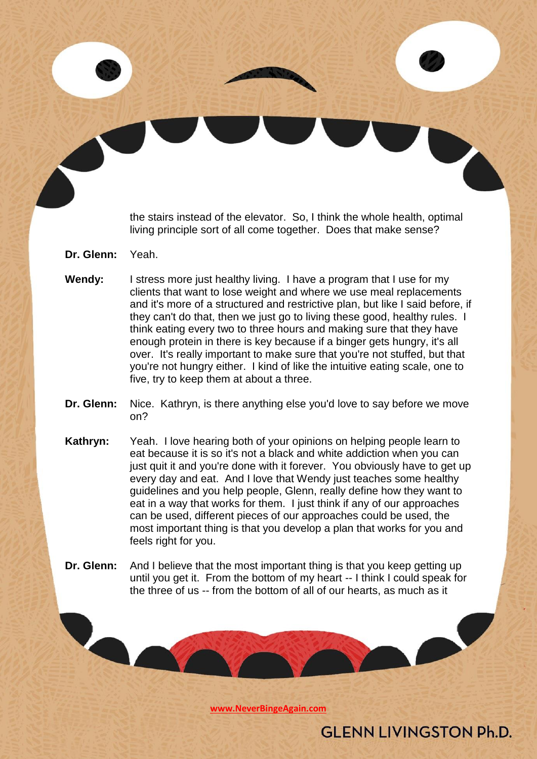the stairs instead of the elevator. So, I think the whole health, optimal living principle sort of all come together. Does that make sense?

- **Dr. Glenn:** Yeah.
- **Wendy:** I stress more just healthy living. I have a program that I use for my clients that want to lose weight and where we use meal replacements and it's more of a structured and restrictive plan, but like I said before, if they can't do that, then we just go to living these good, healthy rules. I think eating every two to three hours and making sure that they have enough protein in there is key because if a binger gets hungry, it's all over. It's really important to make sure that you're not stuffed, but that you're not hungry either. I kind of like the intuitive eating scale, one to five, try to keep them at about a three.
- **Dr. Glenn:** Nice. Kathryn, is there anything else you'd love to say before we move on?
- **Kathryn:** Yeah. I love hearing both of your opinions on helping people learn to eat because it is so it's not a black and white addiction when you can just quit it and you're done with it forever. You obviously have to get up every day and eat. And I love that Wendy just teaches some healthy guidelines and you help people, Glenn, really define how they want to eat in a way that works for them. I just think if any of our approaches can be used, different pieces of our approaches could be used, the most important thing is that you develop a plan that works for you and feels right for you.
- **Dr. Glenn:** And I believe that the most important thing is that you keep getting up until you get it. From the bottom of my heart -- I think I could speak for the three of us -- from the bottom of all of our hearts, as much as it

**[www.NeverBingeAgain.com](http://www.neverbingeagain.com/)**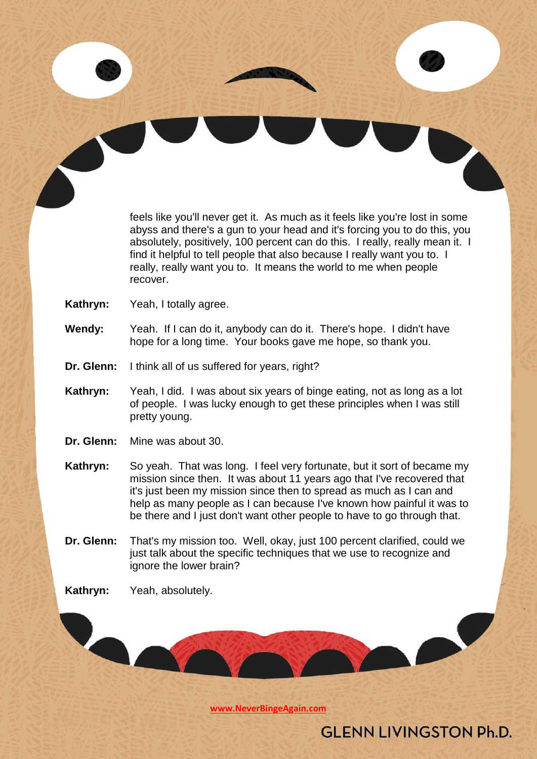feels like you'll never get it. As much as it feels like you're lost in some abyss and there's a gun to your head and it's forcing you to do this, you absolutely, positively, 100 percent can do this. I really, really mean it. I find it helpful to tell people that also because I really want you to. I really, really want you to. It means the world to me when people recover.

- **Kathryn:** Yeah, I totally agree.
- **Wendy:** Yeah. If I can do it, anybody can do it. There's hope. I didn't have hope for a long time. Your books gave me hope, so thank you.
- **Dr. Glenn:** I think all of us suffered for years, right?
- **Kathryn:** Yeah, I did. I was about six years of binge eating, not as long as a lot of people. I was lucky enough to get these principles when I was still pretty young.
- **Dr. Glenn:** Mine was about 30.
- **Kathryn:** So yeah. That was long. I feel very fortunate, but it sort of became my mission since then. It was about 11 years ago that I've recovered that it's just been my mission since then to spread as much as I can and help as many people as I can because I've known how painful it was to be there and I just don't want other people to have to go through that.
- **Dr. Glenn:** That's my mission too. Well, okay, just 100 percent clarified, could we just talk about the specific techniques that we use to recognize and ignore the lower brain?
- **Kathryn:** Yeah, absolutely.

**[www.NeverBingeAgain.com](http://www.neverbingeagain.com/)**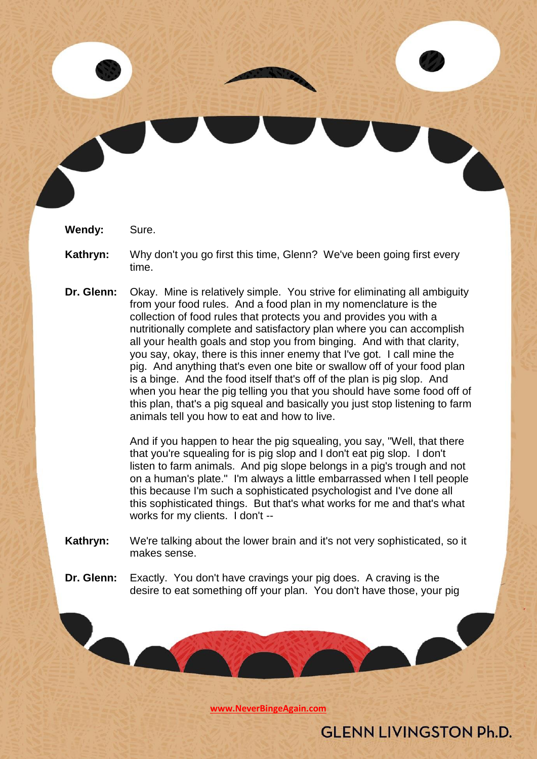**Wendy:** Sure.

- **Kathryn:** Why don't you go first this time, Glenn? We've been going first every time.
- **Dr. Glenn:** Okay. Mine is relatively simple. You strive for eliminating all ambiguity from your food rules. And a food plan in my nomenclature is the collection of food rules that protects you and provides you with a nutritionally complete and satisfactory plan where you can accomplish all your health goals and stop you from binging. And with that clarity, you say, okay, there is this inner enemy that I've got. I call mine the pig. And anything that's even one bite or swallow off of your food plan is a binge. And the food itself that's off of the plan is pig slop. And when you hear the pig telling you that you should have some food off of this plan, that's a pig squeal and basically you just stop listening to farm animals tell you how to eat and how to live.

And if you happen to hear the pig squealing, you say, "Well, that there that you're squealing for is pig slop and I don't eat pig slop. I don't listen to farm animals. And pig slope belongs in a pig's trough and not on a human's plate." I'm always a little embarrassed when I tell people this because I'm such a sophisticated psychologist and I've done all this sophisticated things. But that's what works for me and that's what works for my clients. I don't --

- **Kathryn:** We're talking about the lower brain and it's not very sophisticated, so it makes sense.
- **Dr. Glenn:** Exactly. You don't have cravings your pig does. A craving is the desire to eat something off your plan. You don't have those, your pig

**[www.NeverBingeAgain.com](http://www.neverbingeagain.com/)**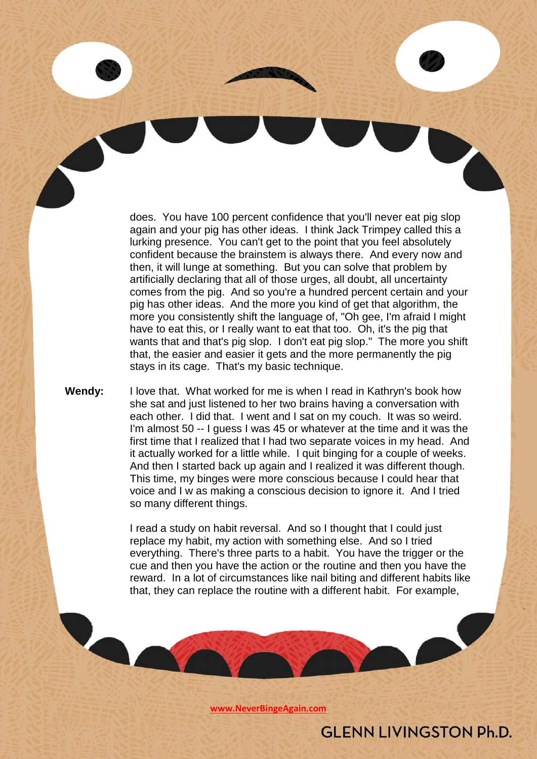does. You have 100 percent confidence that you'll never eat pig slop again and your pig has other ideas. I think Jack Trimpey called this a lurking presence. You can't get to the point that you feel absolutely confident because the brainstem is always there. And every now and then, it will lunge at something. But you can solve that problem by artificially declaring that all of those urges, all doubt, all uncertainty comes from the pig. And so you're a hundred percent certain and your pig has other ideas. And the more you kind of get that algorithm, the more you consistently shift the language of, "Oh gee, I'm afraid I might have to eat this, or I really want to eat that too. Oh, it's the pig that wants that and that's pig slop. I don't eat pig slop." The more you shift that, the easier and easier it gets and the more permanently the pig stays in its cage. That's my basic technique.

**Wendy:** I love that. What worked for me is when I read in Kathryn's book how she sat and just listened to her two brains having a conversation with each other. I did that. I went and I sat on my couch. It was so weird. I'm almost 50 -- I guess I was 45 or whatever at the time and it was the first time that I realized that I had two separate voices in my head. And it actually worked for a little while. I quit binging for a couple of weeks. And then I started back up again and I realized it was different though. This time, my binges were more conscious because I could hear that voice and I w as making a conscious decision to ignore it. And I tried so many different things.

> I read a study on habit reversal. And so I thought that I could just replace my habit, my action with something else. And so I tried everything. There's three parts to a habit. You have the trigger or the cue and then you have the action or the routine and then you have the reward. In a lot of circumstances like nail biting and different habits like that, they can replace the routine with a different habit. For example,

> > **GLENN LIVINGSTON Ph.D.**

**[www.NeverBingeAgain.com](http://www.neverbingeagain.com/)**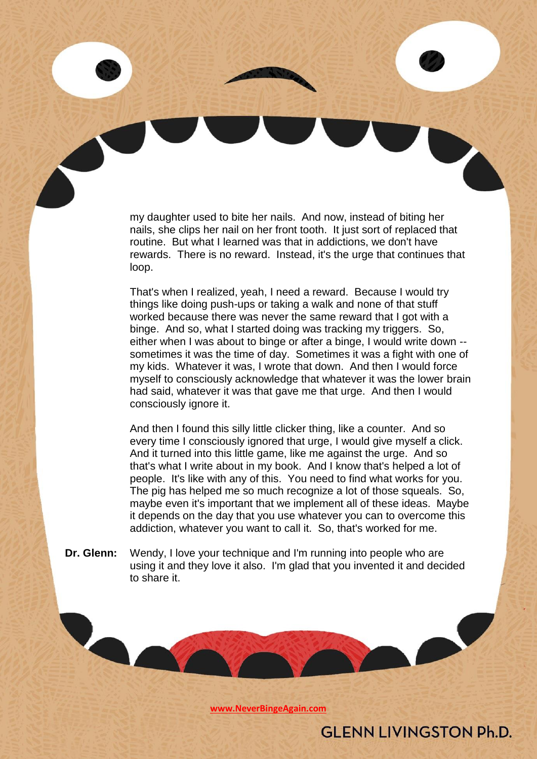my daughter used to bite her nails. And now, instead of biting her nails, she clips her nail on her front tooth. It just sort of replaced that routine. But what I learned was that in addictions, we don't have rewards. There is no reward. Instead, it's the urge that continues that loop.

That's when I realized, yeah, I need a reward. Because I would try things like doing push-ups or taking a walk and none of that stuff worked because there was never the same reward that I got with a binge. And so, what I started doing was tracking my triggers. So, either when I was about to binge or after a binge, I would write down - sometimes it was the time of day. Sometimes it was a fight with one of my kids. Whatever it was, I wrote that down. And then I would force myself to consciously acknowledge that whatever it was the lower brain had said, whatever it was that gave me that urge. And then I would consciously ignore it.

And then I found this silly little clicker thing, like a counter. And so every time I consciously ignored that urge, I would give myself a click. And it turned into this little game, like me against the urge. And so that's what I write about in my book. And I know that's helped a lot of people. It's like with any of this. You need to find what works for you. The pig has helped me so much recognize a lot of those squeals. So, maybe even it's important that we implement all of these ideas. Maybe it depends on the day that you use whatever you can to overcome this addiction, whatever you want to call it. So, that's worked for me.

**Dr. Glenn:** Wendy, I love your technique and I'm running into people who are using it and they love it also. I'm glad that you invented it and decided to share it.

**[www.NeverBingeAgain.com](http://www.neverbingeagain.com/)**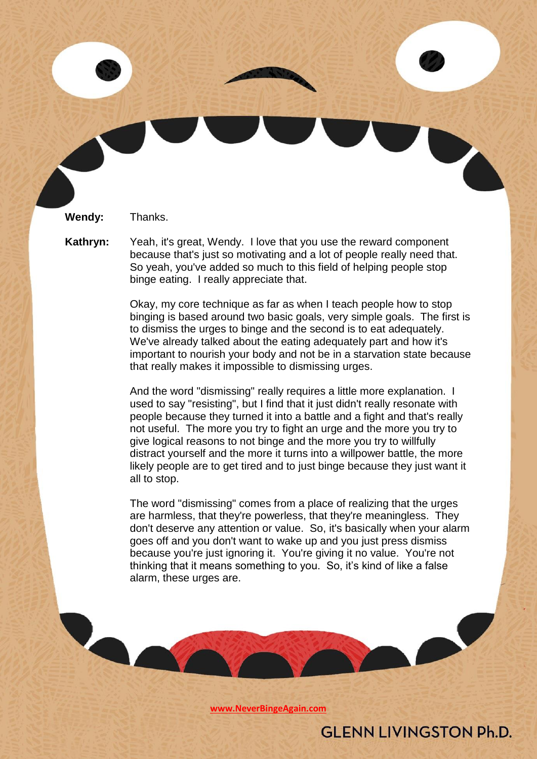**Wendy:** Thanks.

**Kathryn:** Yeah, it's great, Wendy. I love that you use the reward component because that's just so motivating and a lot of people really need that. So yeah, you've added so much to this field of helping people stop binge eating. I really appreciate that.

> Okay, my core technique as far as when I teach people how to stop binging is based around two basic goals, very simple goals. The first is to dismiss the urges to binge and the second is to eat adequately. We've already talked about the eating adequately part and how it's important to nourish your body and not be in a starvation state because that really makes it impossible to dismissing urges.

And the word "dismissing" really requires a little more explanation. I used to say "resisting", but I find that it just didn't really resonate with people because they turned it into a battle and a fight and that's really not useful. The more you try to fight an urge and the more you try to give logical reasons to not binge and the more you try to willfully distract yourself and the more it turns into a willpower battle, the more likely people are to get tired and to just binge because they just want it all to stop.

The word "dismissing" comes from a place of realizing that the urges are harmless, that they're powerless, that they're meaningless. They don't deserve any attention or value. So, it's basically when your alarm goes off and you don't want to wake up and you just press dismiss because you're just ignoring it. You're giving it no value. You're not thinking that it means something to you. So, it's kind of like a false alarm, these urges are.

**[www.NeverBingeAgain.com](http://www.neverbingeagain.com/)**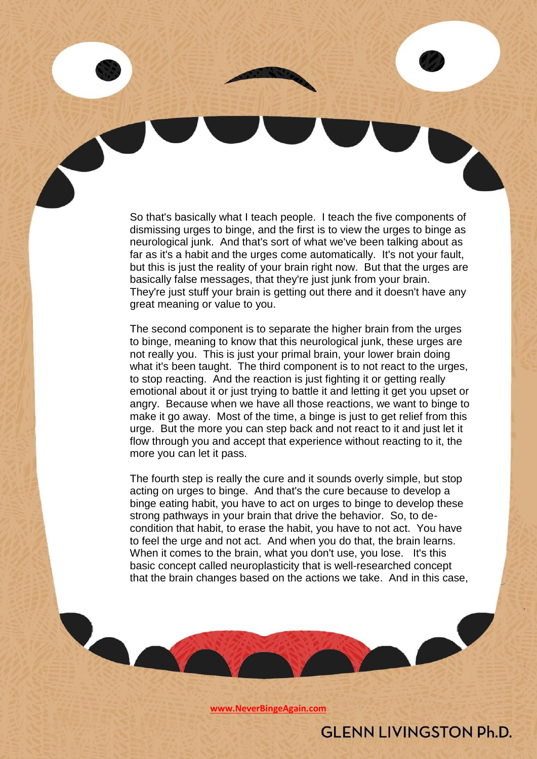So that's basically what I teach people. I teach the five components of dismissing urges to binge, and the first is to view the urges to binge as neurological junk. And that's sort of what we've been talking about as far as it's a habit and the urges come automatically. It's not your fault, but this is just the reality of your brain right now. But that the urges are basically false messages, that they're just junk from your brain. They're just stuff your brain is getting out there and it doesn't have any great meaning or value to you.

The second component is to separate the higher brain from the urges to binge, meaning to know that this neurological junk, these urges are not really you. This is just your primal brain, your lower brain doing what it's been taught. The third component is to not react to the urges, to stop reacting. And the reaction is just fighting it or getting really emotional about it or just trying to battle it and letting it get you upset or angry. Because when we have all those reactions, we want to binge to make it go away. Most of the time, a binge is just to get relief from this urge. But the more you can step back and not react to it and just let it flow through you and accept that experience without reacting to it, the more you can let it pass.

The fourth step is really the cure and it sounds overly simple, but stop acting on urges to binge. And that's the cure because to develop a binge eating habit, you have to act on urges to binge to develop these strong pathways in your brain that drive the behavior. So, to decondition that habit, to erase the habit, you have to not act. You have to feel the urge and not act. And when you do that, the brain learns. When it comes to the brain, what you don't use, you lose. It's this basic concept called neuroplasticity that is well-researched concept that the brain changes based on the actions we take. And in this case,

**[www.NeverBingeAgain.com](http://www.neverbingeagain.com/)**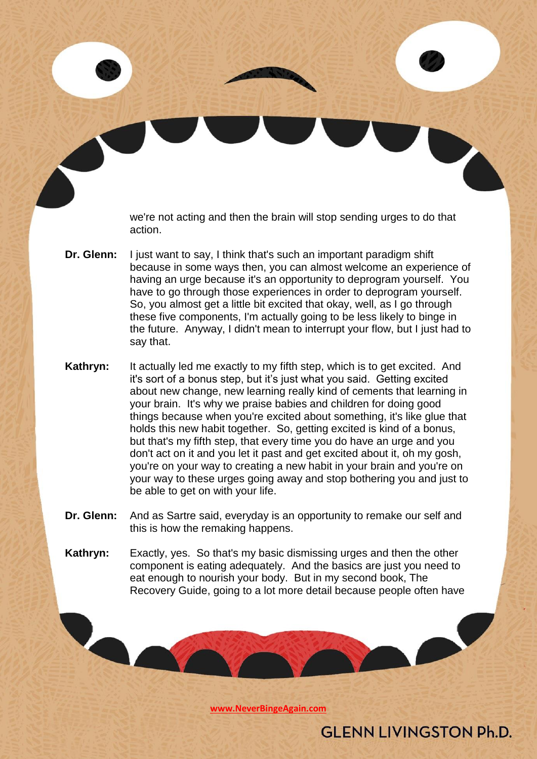we're not acting and then the brain will stop sending urges to do that action.

- **Dr. Glenn:** I just want to say, I think that's such an important paradigm shift because in some ways then, you can almost welcome an experience of having an urge because it's an opportunity to deprogram yourself. You have to go through those experiences in order to deprogram yourself. So, you almost get a little bit excited that okay, well, as I go through these five components, I'm actually going to be less likely to binge in the future. Anyway, I didn't mean to interrupt your flow, but I just had to say that.
- **Kathryn:** It actually led me exactly to my fifth step, which is to get excited. And it's sort of a bonus step, but it's just what you said. Getting excited about new change, new learning really kind of cements that learning in your brain. It's why we praise babies and children for doing good things because when you're excited about something, it's like glue that holds this new habit together. So, getting excited is kind of a bonus, but that's my fifth step, that every time you do have an urge and you don't act on it and you let it past and get excited about it, oh my gosh, you're on your way to creating a new habit in your brain and you're on your way to these urges going away and stop bothering you and just to be able to get on with your life.
- **Dr. Glenn:** And as Sartre said, everyday is an opportunity to remake our self and this is how the remaking happens.
- **Kathryn:** Exactly, yes. So that's my basic dismissing urges and then the other component is eating adequately. And the basics are just you need to eat enough to nourish your body. But in my second book, The Recovery Guide, going to a lot more detail because people often have

**[www.NeverBingeAgain.com](http://www.neverbingeagain.com/)**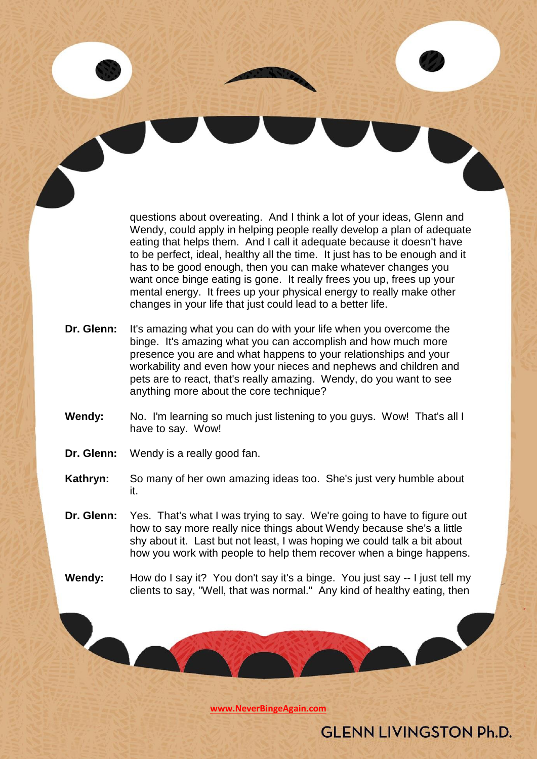questions about overeating. And I think a lot of your ideas, Glenn and Wendy, could apply in helping people really develop a plan of adequate eating that helps them. And I call it adequate because it doesn't have to be perfect, ideal, healthy all the time. It just has to be enough and it has to be good enough, then you can make whatever changes you want once binge eating is gone. It really frees you up, frees up your mental energy. It frees up your physical energy to really make other changes in your life that just could lead to a better life.

- **Dr. Glenn:** It's amazing what you can do with your life when you overcome the binge. It's amazing what you can accomplish and how much more presence you are and what happens to your relationships and your workability and even how your nieces and nephews and children and pets are to react, that's really amazing. Wendy, do you want to see anything more about the core technique?
- **Wendy:** No. I'm learning so much just listening to you guys. Wow! That's all I have to say. Wow!
- **Dr. Glenn:** Wendy is a really good fan.

- **Kathryn:** So many of her own amazing ideas too. She's just very humble about it.
- **Dr. Glenn:** Yes. That's what I was trying to say. We're going to have to figure out how to say more really nice things about Wendy because she's a little shy about it. Last but not least, I was hoping we could talk a bit about how you work with people to help them recover when a binge happens.
- **Wendy:** How do I say it? You don't say it's a binge. You just say -- I just tell my clients to say, "Well, that was normal." Any kind of healthy eating, then

**[www.NeverBingeAgain.com](http://www.neverbingeagain.com/)**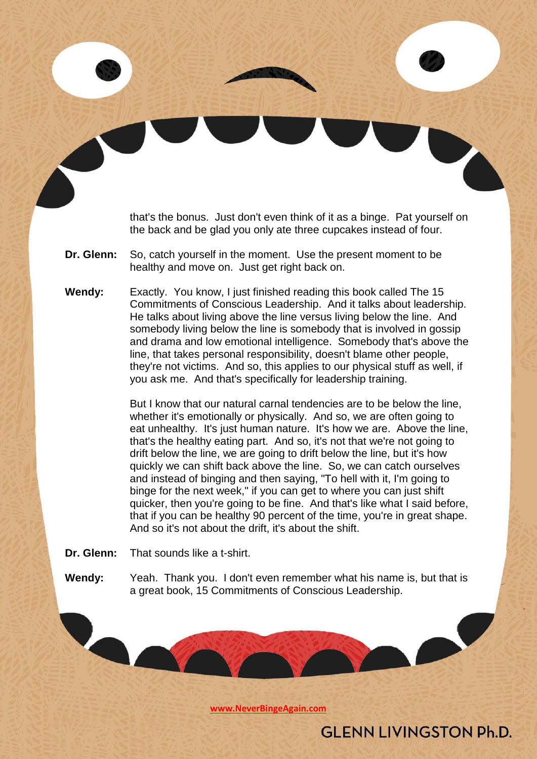that's the bonus. Just don't even think of it as a binge. Pat yourself on the back and be glad you only ate three cupcakes instead of four.

- **Dr. Glenn:** So, catch yourself in the moment. Use the present moment to be healthy and move on. Just get right back on.
- **Wendy:** Exactly. You know, I just finished reading this book called The 15 Commitments of Conscious Leadership. And it talks about leadership. He talks about living above the line versus living below the line. And somebody living below the line is somebody that is involved in gossip and drama and low emotional intelligence. Somebody that's above the line, that takes personal responsibility, doesn't blame other people, they're not victims. And so, this applies to our physical stuff as well, if you ask me. And that's specifically for leadership training.

But I know that our natural carnal tendencies are to be below the line, whether it's emotionally or physically. And so, we are often going to eat unhealthy. It's just human nature. It's how we are. Above the line, that's the healthy eating part. And so, it's not that we're not going to drift below the line, we are going to drift below the line, but it's how quickly we can shift back above the line. So, we can catch ourselves and instead of binging and then saying, "To hell with it, I'm going to binge for the next week," if you can get to where you can just shift quicker, then you're going to be fine. And that's like what I said before, that if you can be healthy 90 percent of the time, you're in great shape. And so it's not about the drift, it's about the shift.

**Dr. Glenn:** That sounds like a t-shirt.

**Wendy:** Yeah. Thank you. I don't even remember what his name is, but that is a great book, 15 Commitments of Conscious Leadership.

**[www.NeverBingeAgain.com](http://www.neverbingeagain.com/)**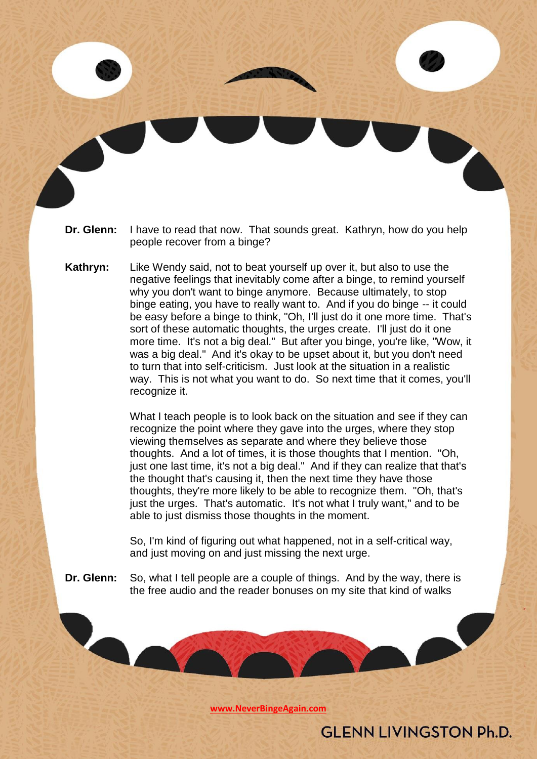- **Dr. Glenn:** I have to read that now. That sounds great. Kathryn, how do you help people recover from a binge?
- **Kathryn:** Like Wendy said, not to beat yourself up over it, but also to use the negative feelings that inevitably come after a binge, to remind yourself why you don't want to binge anymore. Because ultimately, to stop binge eating, you have to really want to. And if you do binge -- it could be easy before a binge to think, "Oh, I'll just do it one more time. That's sort of these automatic thoughts, the urges create. I'll just do it one more time. It's not a big deal." But after you binge, you're like, "Wow, it was a big deal." And it's okay to be upset about it, but you don't need to turn that into self-criticism. Just look at the situation in a realistic way. This is not what you want to do. So next time that it comes, you'll recognize it.

What I teach people is to look back on the situation and see if they can recognize the point where they gave into the urges, where they stop viewing themselves as separate and where they believe those thoughts. And a lot of times, it is those thoughts that I mention. "Oh, just one last time, it's not a big deal." And if they can realize that that's the thought that's causing it, then the next time they have those thoughts, they're more likely to be able to recognize them. "Oh, that's just the urges. That's automatic. It's not what I truly want," and to be able to just dismiss those thoughts in the moment.

So, I'm kind of figuring out what happened, not in a self-critical way, and just moving on and just missing the next urge.

**Dr. Glenn:** So, what I tell people are a couple of things. And by the way, there is the free audio and the reader bonuses on my site that kind of walks

**[www.NeverBingeAgain.com](http://www.neverbingeagain.com/)**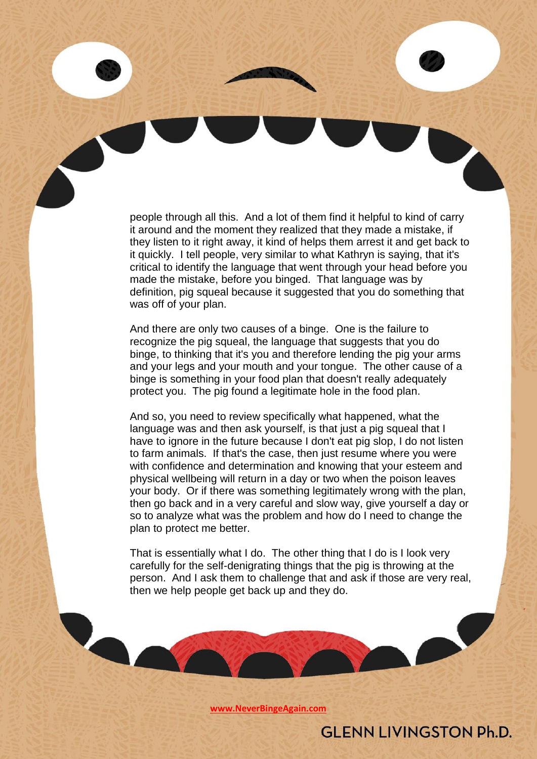people through all this. And a lot of them find it helpful to kind of carry it around and the moment they realized that they made a mistake, if they listen to it right away, it kind of helps them arrest it and get back to it quickly. I tell people, very similar to what Kathryn is saying, that it's critical to identify the language that went through your head before you made the mistake, before you binged. That language was by definition, pig squeal because it suggested that you do something that was off of your plan.

And there are only two causes of a binge. One is the failure to recognize the pig squeal, the language that suggests that you do binge, to thinking that it's you and therefore lending the pig your arms and your legs and your mouth and your tongue. The other cause of a binge is something in your food plan that doesn't really adequately protect you. The pig found a legitimate hole in the food plan.

And so, you need to review specifically what happened, what the language was and then ask yourself, is that just a pig squeal that I have to ignore in the future because I don't eat pig slop. I do not listen to farm animals. If that's the case, then just resume where you were with confidence and determination and knowing that your esteem and physical wellbeing will return in a day or two when the poison leaves your body. Or if there was something legitimately wrong with the plan, then go back and in a very careful and slow way, give yourself a day or so to analyze what was the problem and how do I need to change the plan to protect me better.

That is essentially what I do. The other thing that I do is I look very carefully for the self-denigrating things that the pig is throwing at the person. And I ask them to challenge that and ask if those are very real, then we help people get back up and they do.

**[www.NeverBingeAgain.com](http://www.neverbingeagain.com/)**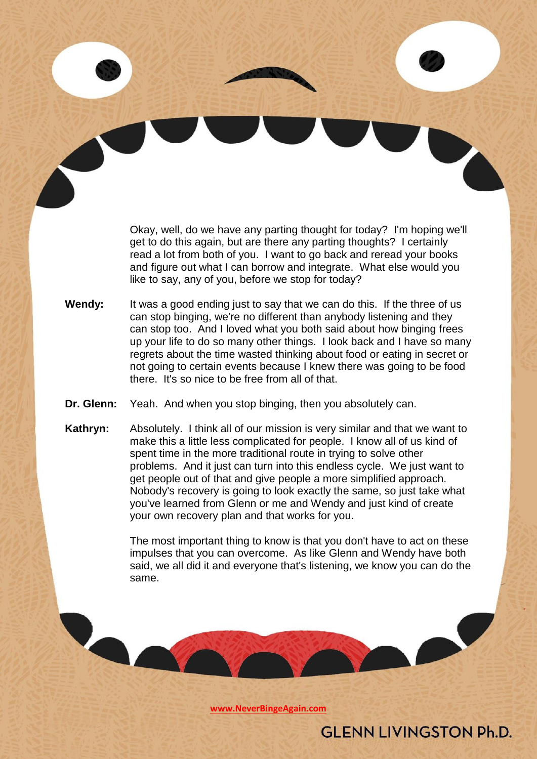Okay, well, do we have any parting thought for today? I'm hoping we'll get to do this again, but are there any parting thoughts? I certainly read a lot from both of you. I want to go back and reread your books and figure out what I can borrow and integrate. What else would you like to say, any of you, before we stop for today?

- **Wendy:** It was a good ending just to say that we can do this. If the three of us can stop binging, we're no different than anybody listening and they can stop too. And I loved what you both said about how binging frees up your life to do so many other things. I look back and I have so many regrets about the time wasted thinking about food or eating in secret or not going to certain events because I knew there was going to be food there. It's so nice to be free from all of that.
- **Dr. Glenn:** Yeah. And when you stop binging, then you absolutely can.
- **Kathryn:** Absolutely. I think all of our mission is very similar and that we want to make this a little less complicated for people. I know all of us kind of spent time in the more traditional route in trying to solve other problems. And it just can turn into this endless cycle. We just want to get people out of that and give people a more simplified approach. Nobody's recovery is going to look exactly the same, so just take what you've learned from Glenn or me and Wendy and just kind of create your own recovery plan and that works for you.

The most important thing to know is that you don't have to act on these impulses that you can overcome. As like Glenn and Wendy have both said, we all did it and everyone that's listening, we know you can do the same.

**[www.NeverBingeAgain.com](http://www.neverbingeagain.com/)**